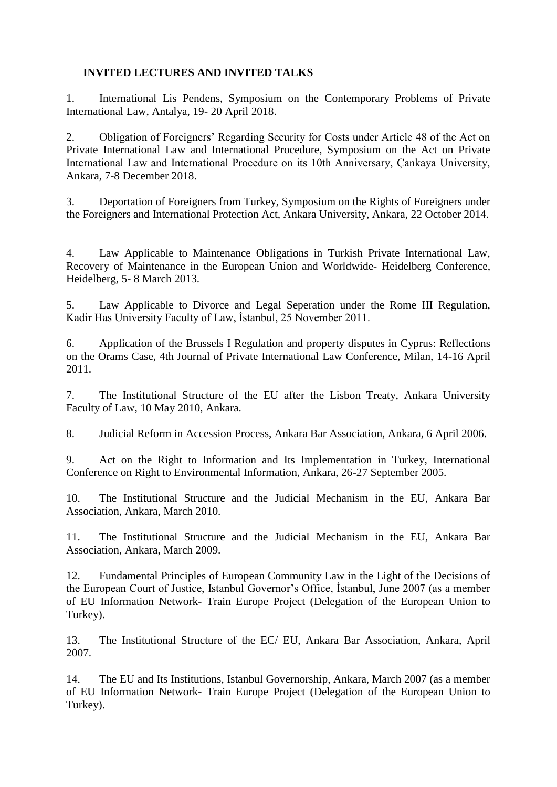## **INVITED LECTURES AND INVITED TALKS**

1. International Lis Pendens, Symposium on the Contemporary Problems of Private International Law, Antalya, 19- 20 April 2018.

2. Obligation of Foreigners' Regarding Security for Costs under Article 48 of the Act on Private International Law and International Procedure, Symposium on the Act on Private International Law and International Procedure on its 10th Anniversary, Çankaya University, Ankara, 7-8 December 2018.

3. Deportation of Foreigners from Turkey, Symposium on the Rights of Foreigners under the Foreigners and International Protection Act, Ankara University, Ankara, 22 October 2014.

4. Law Applicable to Maintenance Obligations in Turkish Private International Law, Recovery of Maintenance in the European Union and Worldwide- Heidelberg Conference, Heidelberg, 5- 8 March 2013.

5. Law Applicable to Divorce and Legal Seperation under the Rome III Regulation, Kadir Has University Faculty of Law, İstanbul, 25 November 2011.

6. Application of the Brussels I Regulation and property disputes in Cyprus: Reflections on the Orams Case, 4th Journal of Private International Law Conference, Milan, 14-16 April 2011.

7. The Institutional Structure of the EU after the Lisbon Treaty, Ankara University Faculty of Law, 10 May 2010, Ankara.

8. Judicial Reform in Accession Process, Ankara Bar Association, Ankara, 6 April 2006.

9. Act on the Right to Information and Its Implementation in Turkey, International Conference on Right to Environmental Information, Ankara, 26-27 September 2005.

10. The Institutional Structure and the Judicial Mechanism in the EU, Ankara Bar Association, Ankara, March 2010.

11. The Institutional Structure and the Judicial Mechanism in the EU, Ankara Bar Association, Ankara, March 2009.

12. Fundamental Principles of European Community Law in the Light of the Decisions of the European Court of Justice, Istanbul Governor's Office, İstanbul, June 2007 (as a member of EU Information Network- Train Europe Project (Delegation of the European Union to Turkey).

13. The Institutional Structure of the EC/ EU, Ankara Bar Association, Ankara, April 2007.

14. The EU and Its Institutions, Istanbul Governorship, Ankara, March 2007 (as a member of EU Information Network- Train Europe Project (Delegation of the European Union to Turkey).